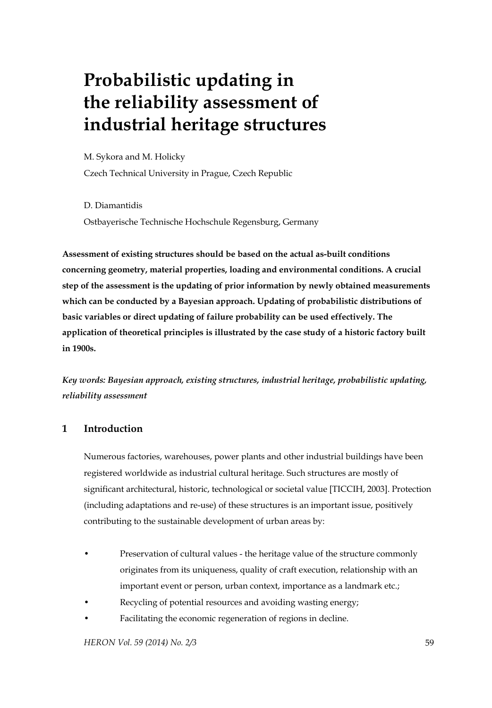# **Probabilistic updating in the reliability assessment of industrial heritage structures**

M. Sykora and M. Holicky

Czech Technical University in Prague, Czech Republic

D. Diamantidis Ostbayerische Technische Hochschule Regensburg, Germany

**Assessment of existing structures should be based on the actual as-built conditions concerning geometry, material properties, loading and environmental conditions. A crucial step of the assessment is the updating of prior information by newly obtained measurements which can be conducted by a Bayesian approach. Updating of probabilistic distributions of basic variables or direct updating of failure probability can be used effectively. The application of theoretical principles is illustrated by the case study of a historic factory built in 1900s.** 

*Key words: Bayesian approach, existing structures, industrial heritage, probabilistic updating, reliability assessment* 

# **1 Introduction**

Numerous factories, warehouses, power plants and other industrial buildings have been registered worldwide as industrial cultural heritage. Such structures are mostly of significant architectural, historic, technological or societal value [TICCIH, 2003]. Protection (including adaptations and re-use) of these structures is an important issue, positively contributing to the sustainable development of urban areas by:

- Preservation of cultural values the heritage value of the structure commonly originates from its uniqueness, quality of craft execution, relationship with an important event or person, urban context, importance as a landmark etc.;
- Recycling of potential resources and avoiding wasting energy;
- Facilitating the economic regeneration of regions in decline.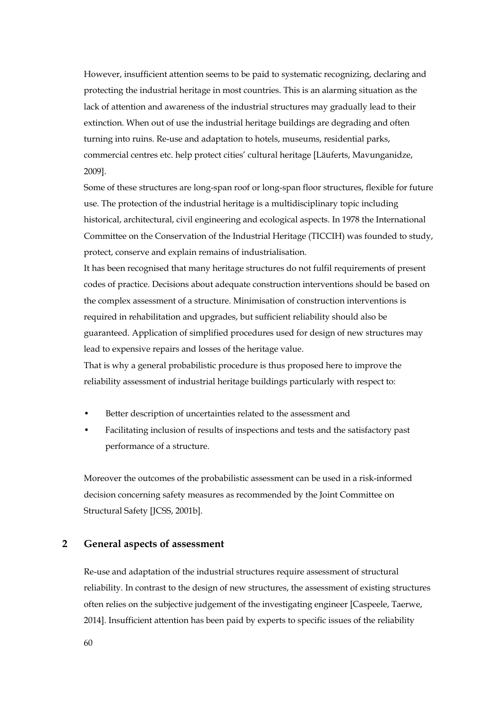However, insufficient attention seems to be paid to systematic recognizing, declaring and protecting the industrial heritage in most countries. This is an alarming situation as the lack of attention and awareness of the industrial structures may gradually lead to their extinction. When out of use the industrial heritage buildings are degrading and often turning into ruins. Re-use and adaptation to hotels, museums, residential parks, commercial centres etc. help protect cities' cultural heritage [Läuferts, Mavunganidze, 2009].

Some of these structures are long-span roof or long-span floor structures, flexible for future use. The protection of the industrial heritage is a multidisciplinary topic including historical, architectural, civil engineering and ecological aspects. In 1978 the International Committee on the Conservation of the Industrial Heritage (TICCIH) was founded to study, protect, conserve and explain remains of industrialisation.

It has been recognised that many heritage structures do not fulfil requirements of present codes of practice. Decisions about adequate construction interventions should be based on the complex assessment of a structure. Minimisation of construction interventions is required in rehabilitation and upgrades, but sufficient reliability should also be guaranteed. Application of simplified procedures used for design of new structures may lead to expensive repairs and losses of the heritage value.

That is why a general probabilistic procedure is thus proposed here to improve the reliability assessment of industrial heritage buildings particularly with respect to:

- Better description of uncertainties related to the assessment and
- Facilitating inclusion of results of inspections and tests and the satisfactory past performance of a structure.

Moreover the outcomes of the probabilistic assessment can be used in a risk-informed decision concerning safety measures as recommended by the Joint Committee on Structural Safety [JCSS, 2001b].

## **2 General aspects of assessment**

Re-use and adaptation of the industrial structures require assessment of structural reliability. In contrast to the design of new structures, the assessment of existing structures often relies on the subjective judgement of the investigating engineer [Caspeele, Taerwe, 2014]. Insufficient attention has been paid by experts to specific issues of the reliability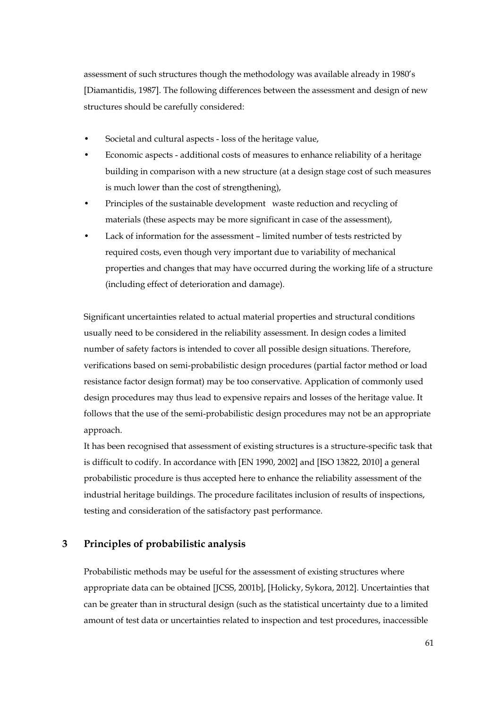assessment of such structures though the methodology was available already in 1980's [Diamantidis, 1987]. The following differences between the assessment and design of new structures should be carefully considered:

- Societal and cultural aspects loss of the heritage value,
- Economic aspects additional costs of measures to enhance reliability of a heritage building in comparison with a new structure (at a design stage cost of such measures is much lower than the cost of strengthening),
- Principles of the sustainable development waste reduction and recycling of materials (these aspects may be more significant in case of the assessment),
- Lack of information for the assessment limited number of tests restricted by required costs, even though very important due to variability of mechanical properties and changes that may have occurred during the working life of a structure (including effect of deterioration and damage).

Significant uncertainties related to actual material properties and structural conditions usually need to be considered in the reliability assessment. In design codes a limited number of safety factors is intended to cover all possible design situations. Therefore, verifications based on semi-probabilistic design procedures (partial factor method or load resistance factor design format) may be too conservative. Application of commonly used design procedures may thus lead to expensive repairs and losses of the heritage value. It follows that the use of the semi-probabilistic design procedures may not be an appropriate approach.

It has been recognised that assessment of existing structures is a structure-specific task that is difficult to codify. In accordance with [EN 1990, 2002] and [ISO 13822, 2010] a general probabilistic procedure is thus accepted here to enhance the reliability assessment of the industrial heritage buildings. The procedure facilitates inclusion of results of inspections, testing and consideration of the satisfactory past performance.

## **3 Principles of probabilistic analysis**

Probabilistic methods may be useful for the assessment of existing structures where appropriate data can be obtained [JCSS, 2001b], [Holicky, Sykora, 2012]. Uncertainties that can be greater than in structural design (such as the statistical uncertainty due to a limited amount of test data or uncertainties related to inspection and test procedures, inaccessible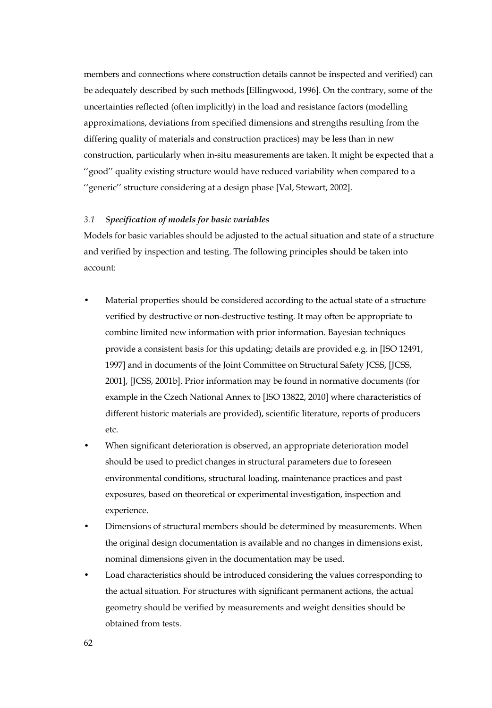members and connections where construction details cannot be inspected and verified) can be adequately described by such methods [Ellingwood, 1996]. On the contrary, some of the uncertainties reflected (often implicitly) in the load and resistance factors (modelling approximations, deviations from specified dimensions and strengths resulting from the differing quality of materials and construction practices) may be less than in new construction, particularly when in-situ measurements are taken. It might be expected that a ''good'' quality existing structure would have reduced variability when compared to a ''generic'' structure considering at a design phase [Val, Stewart, 2002].

#### *3.1 Specification of models for basic variables*

Models for basic variables should be adjusted to the actual situation and state of a structure and verified by inspection and testing. The following principles should be taken into account:

- Material properties should be considered according to the actual state of a structure verified by destructive or non-destructive testing. It may often be appropriate to combine limited new information with prior information. Bayesian techniques provide a consistent basis for this updating; details are provided e.g. in [ISO 12491, 1997] and in documents of the Joint Committee on Structural Safety JCSS, [JCSS, 2001], [JCSS, 2001b]. Prior information may be found in normative documents (for example in the Czech National Annex to [ISO 13822, 2010] where characteristics of different historic materials are provided), scientific literature, reports of producers etc.
- When significant deterioration is observed, an appropriate deterioration model should be used to predict changes in structural parameters due to foreseen environmental conditions, structural loading, maintenance practices and past exposures, based on theoretical or experimental investigation, inspection and experience.
- Dimensions of structural members should be determined by measurements. When the original design documentation is available and no changes in dimensions exist, nominal dimensions given in the documentation may be used.
- Load characteristics should be introduced considering the values corresponding to the actual situation. For structures with significant permanent actions, the actual geometry should be verified by measurements and weight densities should be obtained from tests.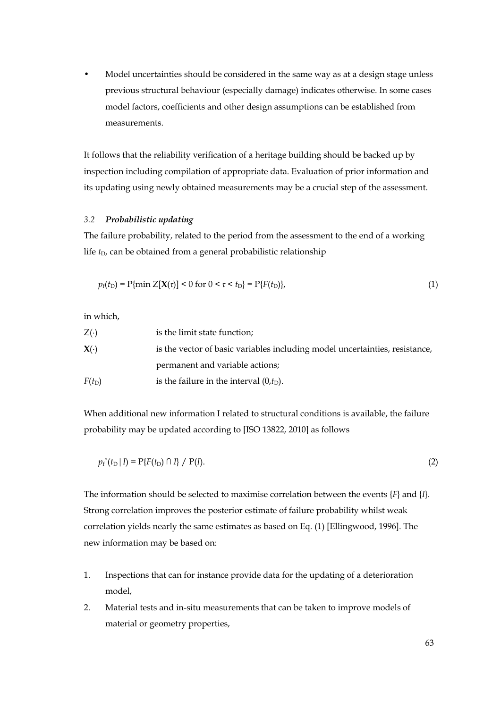• Model uncertainties should be considered in the same way as at a design stage unless previous structural behaviour (especially damage) indicates otherwise. In some cases model factors, coefficients and other design assumptions can be established from measurements.

It follows that the reliability verification of a heritage building should be backed up by inspection including compilation of appropriate data. Evaluation of prior information and its updating using newly obtained measurements may be a crucial step of the assessment.

### *3.2 Probabilistic updating*

The failure probability, related to the period from the assessment to the end of a working life *t*<sub>D</sub>, can be obtained from a general probabilistic relationship

$$
p_f(t_D) = P\{\min Z[X(\tau)] < 0 \text{ for } 0 < \tau < t_D\} = P\{F(t_D)\},\tag{1}
$$

in which,

| $Z(\cdot)$          | is the limit state function;                                                |
|---------------------|-----------------------------------------------------------------------------|
| $\mathbf{X}(\cdot)$ | is the vector of basic variables including model uncertainties, resistance, |
|                     | permanent and variable actions;                                             |
| $F(t_D)$            | is the failure in the interval $(0,t_D)$ .                                  |

When additional new information I related to structural conditions is available, the failure probability may be updated according to [ISO 13822, 2010] as follows

$$
p_f''(t_D | I) = P\{F(t_D) \cap I\} / P(I). \tag{2}
$$

The information should be selected to maximise correlation between the events {*F*} and {*I*}. Strong correlation improves the posterior estimate of failure probability whilst weak correlation yields nearly the same estimates as based on Eq. (1) [Ellingwood, 1996]. The new information may be based on:

- 1. Inspections that can for instance provide data for the updating of a deterioration model,
- 2. Material tests and in-situ measurements that can be taken to improve models of material or geometry properties,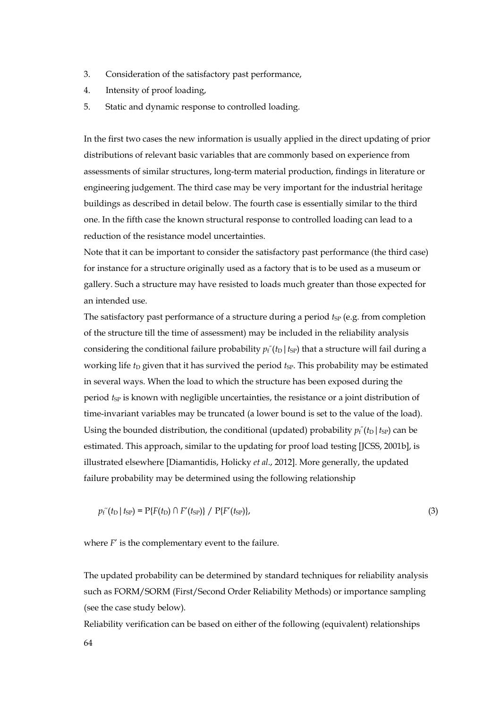- 3. Consideration of the satisfactory past performance,
- 4. Intensity of proof loading,
- 5. Static and dynamic response to controlled loading.

In the first two cases the new information is usually applied in the direct updating of prior distributions of relevant basic variables that are commonly based on experience from assessments of similar structures, long-term material production, findings in literature or engineering judgement. The third case may be very important for the industrial heritage buildings as described in detail below. The fourth case is essentially similar to the third one. In the fifth case the known structural response to controlled loading can lead to a reduction of the resistance model uncertainties.

Note that it can be important to consider the satisfactory past performance (the third case) for instance for a structure originally used as a factory that is to be used as a museum or gallery. Such a structure may have resisted to loads much greater than those expected for an intended use.

The satisfactory past performance of a structure during a period  $t_{SP}$  (e.g. from completion of the structure till the time of assessment) may be included in the reliability analysis considering the conditional failure probability  $p_f^r(t_D | t_{\text{SP}})$  that a structure will fail during a working life *t*<sub>D</sub> given that it has survived the period *t*<sub>SP</sub>. This probability may be estimated in several ways. When the load to which the structure has been exposed during the period *t*<sub>SP</sub> is known with negligible uncertainties, the resistance or a joint distribution of time-invariant variables may be truncated (a lower bound is set to the value of the load). Using the bounded distribution, the conditional (updated) probability  $p_f'(t_D | t_{SP})$  can be estimated. This approach, similar to the updating for proof load testing [JCSS, 2001b], is illustrated elsewhere [Diamantidis, Holicky *et al*., 2012]. More generally, the updated failure probability may be determined using the following relationship

$$
p_f''(t_D | t_{SP}) = P\{F(t_D) \cap F'(t_{SP})\} / P\{F'(t_{SP})\},\tag{3}
$$

where *F'* is the complementary event to the failure.

The updated probability can be determined by standard techniques for reliability analysis such as FORM/SORM (First/Second Order Reliability Methods) or importance sampling (see the case study below).

Reliability verification can be based on either of the following (equivalent) relationships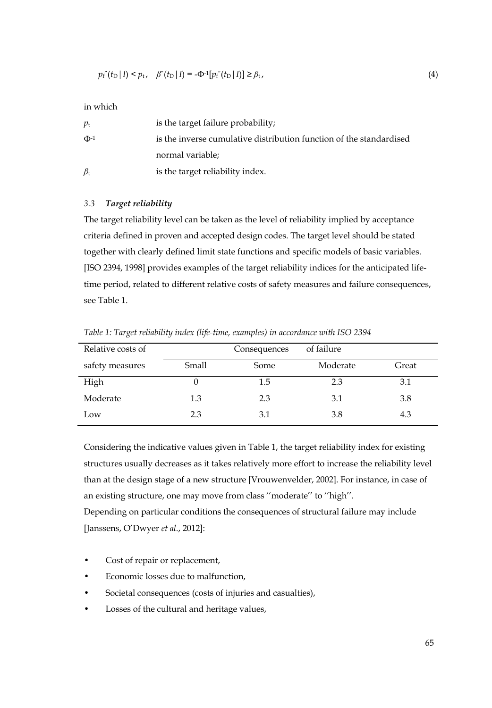$$
p_{f}^{''}(t_{\text{D}} | I) < p_{t}, \quad \beta''(t_{\text{D}} | I) = -\Phi^{-1}[p_{f}^{''}(t_{\text{D}} | I)] \geq \beta_{t}, \tag{4}
$$

in which

| $p_{\rm t}$     | is the target failure probability;                                  |
|-----------------|---------------------------------------------------------------------|
| $\Phi^{-1}$     | is the inverse cumulative distribution function of the standardised |
|                 | normal variable;                                                    |
| $\beta_{\rm t}$ | is the target reliability index.                                    |

## *3.3 Target reliability*

The target reliability level can be taken as the level of reliability implied by acceptance criteria defined in proven and accepted design codes. The target level should be stated together with clearly defined limit state functions and specific models of basic variables. [ISO 2394, 1998] provides examples of the target reliability indices for the anticipated lifetime period, related to different relative costs of safety measures and failure consequences, see Table 1.

*Table 1: Target reliability index (life-time, examples) in accordance with ISO 2394* 

| Relative costs of |       | Consequences | of failure |       |
|-------------------|-------|--------------|------------|-------|
| safety measures   | Small | Some         | Moderate   | Great |
| High              | O     | 1.5          | 2.3        | 3.1   |
| Moderate          | 1.3   | 2.3          | 3.1        | 3.8   |
| Low               | 2.3   | 3.1          | 3.8        | 4.3   |

Considering the indicative values given in Table 1, the target reliability index for existing structures usually decreases as it takes relatively more effort to increase the reliability level than at the design stage of a new structure [Vrouwenvelder, 2002]. For instance, in case of an existing structure, one may move from class ''moderate'' to ''high''. Depending on particular conditions the consequences of structural failure may include [Janssens, O'Dwyer *et al*., 2012]:

- Cost of repair or replacement,
- Economic losses due to malfunction,
- Societal consequences (costs of injuries and casualties),
- Losses of the cultural and heritage values,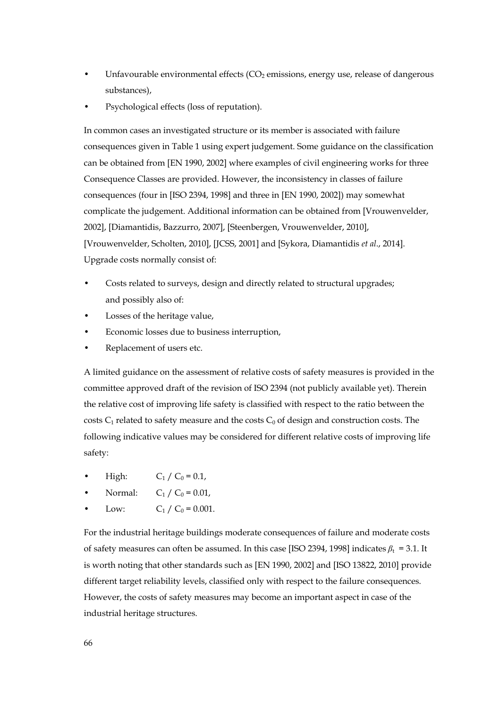- Unfavourable environmental effects (CO<sub>2</sub> emissions, energy use, release of dangerous substances),
- Psychological effects (loss of reputation).

In common cases an investigated structure or its member is associated with failure consequences given in Table 1 using expert judgement. Some guidance on the classification can be obtained from [EN 1990, 2002] where examples of civil engineering works for three Consequence Classes are provided. However, the inconsistency in classes of failure consequences (four in [ISO 2394, 1998] and three in [EN 1990, 2002]) may somewhat complicate the judgement. Additional information can be obtained from [Vrouwenvelder, 2002], [Diamantidis, Bazzurro, 2007], [Steenbergen, Vrouwenvelder, 2010], [Vrouwenvelder, Scholten, 2010], [JCSS, 2001] and [Sykora, Diamantidis *et al*., 2014]. Upgrade costs normally consist of:

- Costs related to surveys, design and directly related to structural upgrades; and possibly also of:
- Losses of the heritage value,
- Economic losses due to business interruption,
- Replacement of users etc.

A limited guidance on the assessment of relative costs of safety measures is provided in the committee approved draft of the revision of ISO 2394 (not publicly available yet). Therein the relative cost of improving life safety is classified with respect to the ratio between the costs  $C_1$  related to safety measure and the costs  $C_0$  of design and construction costs. The following indicative values may be considered for different relative costs of improving life safety:

- High:  $C_1 / C_0 = 0.1$ ,
- Normal:  $C_1 / C_0 = 0.01$ ,
- Low:  $C_1 / C_0 = 0.001$ .

For the industrial heritage buildings moderate consequences of failure and moderate costs of safety measures can often be assumed. In this case [ISO 2394, 1998] indicates  $\beta_t = 3.1$ . It is worth noting that other standards such as [EN 1990, 2002] and [ISO 13822, 2010] provide different target reliability levels, classified only with respect to the failure consequences. However, the costs of safety measures may become an important aspect in case of the industrial heritage structures.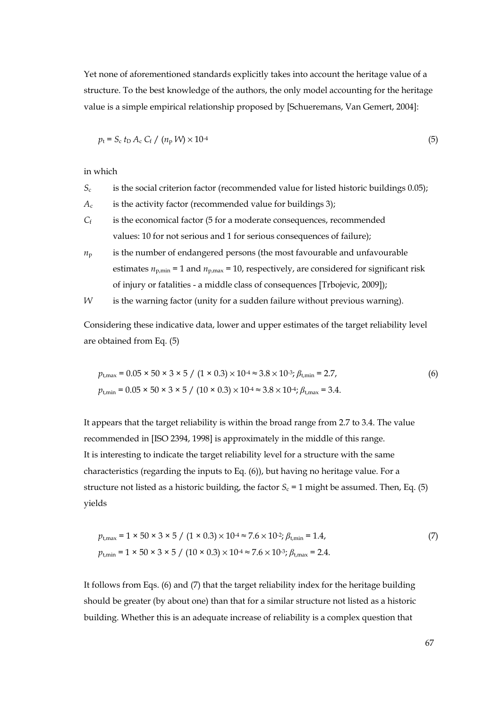Yet none of aforementioned standards explicitly takes into account the heritage value of a structure. To the best knowledge of the authors, the only model accounting for the heritage value is a simple empirical relationship proposed by [Schueremans, Van Gemert, 2004]:

$$
p_{\rm t} = S_{\rm c} t_{\rm D} A_{\rm c} C_{\rm f} / (n_{\rm p} W) \times 10^{-4}
$$

in which

- *S*c is the social criterion factor (recommended value for listed historic buildings 0.05);
- $A_c$  is the activity factor (recommended value for buildings 3);
- *C*<sub>f</sub> is the economical factor (5 for a moderate consequences, recommended values: 10 for not serious and 1 for serious consequences of failure);
- $n_p$  is the number of endangered persons (the most favourable and unfavourable estimates  $n_{p,\text{min}} = 1$  and  $n_{p,\text{max}} = 10$ , respectively, are considered for significant risk of injury or fatalities - a middle class of consequences [Trbojevic, 2009]);
- *W* is the warning factor (unity for a sudden failure without previous warning).

Considering these indicative data, lower and upper estimates of the target reliability level are obtained from Eq. (5)

$$
p_{\text{t,max}} = 0.05 \times 50 \times 3 \times 5 / (1 \times 0.3) \times 10^{4} \approx 3.8 \times 10^{3}; \beta_{\text{t,min}} = 2.7,
$$
  
(6)  

$$
p_{\text{t,min}} = 0.05 \times 50 \times 3 \times 5 / (10 \times 0.3) \times 10^{4} \approx 3.8 \times 10^{4}; \beta_{\text{t,max}} = 3.4.
$$

It appears that the target reliability is within the broad range from 2.7 to 3.4. The value recommended in [ISO 2394, 1998] is approximately in the middle of this range. It is interesting to indicate the target reliability level for a structure with the same characteristics (regarding the inputs to Eq. (6)), but having no heritage value. For a structure not listed as a historic building, the factor  $S_c = 1$  might be assumed. Then, Eq. (5) yields

$$
p_{t,\text{max}} = 1 \times 50 \times 3 \times 5 / (1 \times 0.3) \times 10^{4} \approx 7.6 \times 10^{2}; \beta_{t,\text{min}} = 1.4,
$$
  
\n
$$
p_{t,\text{min}} = 1 \times 50 \times 3 \times 5 / (10 \times 0.3) \times 10^{4} \approx 7.6 \times 10^{3}; \beta_{t,\text{max}} = 2.4.
$$
\n(7)

It follows from Eqs. (6) and (7) that the target reliability index for the heritage building should be greater (by about one) than that for a similar structure not listed as a historic building. Whether this is an adequate increase of reliability is a complex question that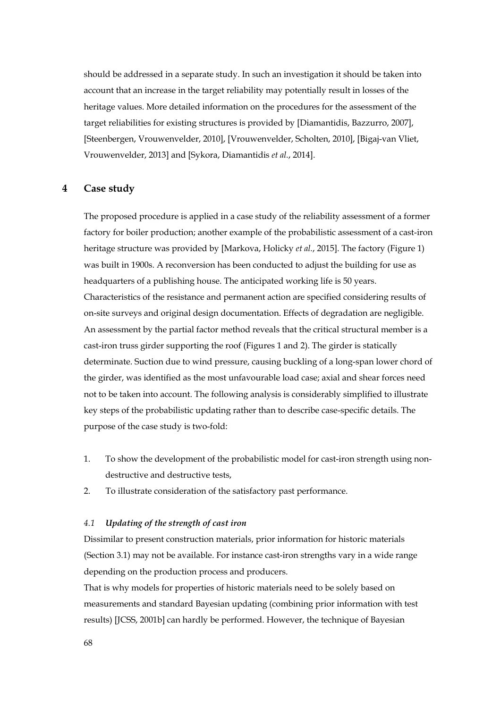should be addressed in a separate study. In such an investigation it should be taken into account that an increase in the target reliability may potentially result in losses of the heritage values. More detailed information on the procedures for the assessment of the target reliabilities for existing structures is provided by [Diamantidis, Bazzurro, 2007], [Steenbergen, Vrouwenvelder, 2010], [Vrouwenvelder, Scholten, 2010], [Bigaj-van Vliet, Vrouwenvelder, 2013] and [Sykora, Diamantidis *et al.*, 2014].

#### **4 Case study**

The proposed procedure is applied in a case study of the reliability assessment of a former factory for boiler production; another example of the probabilistic assessment of a cast-iron heritage structure was provided by [Markova, Holicky *et al.*, 2015]. The factory (Figure 1) was built in 1900s. A reconversion has been conducted to adjust the building for use as headquarters of a publishing house. The anticipated working life is 50 years. Characteristics of the resistance and permanent action are specified considering results of on-site surveys and original design documentation. Effects of degradation are negligible. An assessment by the partial factor method reveals that the critical structural member is a cast-iron truss girder supporting the roof (Figures 1 and 2). The girder is statically determinate. Suction due to wind pressure, causing buckling of a long-span lower chord of the girder, was identified as the most unfavourable load case; axial and shear forces need not to be taken into account. The following analysis is considerably simplified to illustrate key steps of the probabilistic updating rather than to describe case-specific details. The purpose of the case study is two-fold:

- 1. To show the development of the probabilistic model for cast-iron strength using nondestructive and destructive tests,
- 2. To illustrate consideration of the satisfactory past performance.

#### *4.1 Updating of the strength of cast iron*

Dissimilar to present construction materials, prior information for historic materials (Section 3.1) may not be available. For instance cast-iron strengths vary in a wide range depending on the production process and producers.

That is why models for properties of historic materials need to be solely based on measurements and standard Bayesian updating (combining prior information with test results) [JCSS, 2001b] can hardly be performed. However, the technique of Bayesian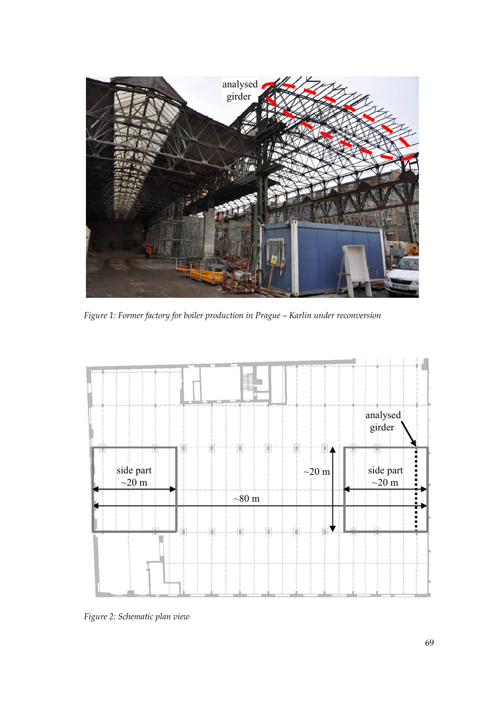

*Figure 1: Former factory for boiler production in Prague – Karlin under reconversion* 



*Figure 2: Schematic plan view*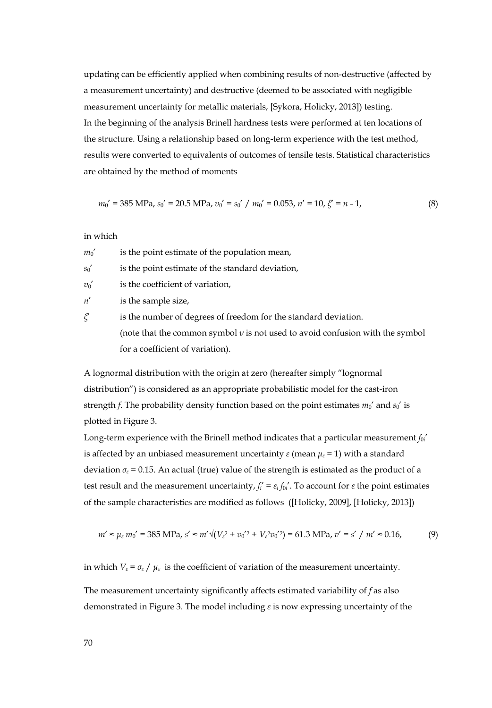updating can be efficiently applied when combining results of non-destructive (affected by a measurement uncertainty) and destructive (deemed to be associated with negligible measurement uncertainty for metallic materials, [Sykora, Holicky, 2013]) testing. In the beginning of the analysis Brinell hardness tests were performed at ten locations of the structure. Using a relationship based on long-term experience with the test method, results were converted to equivalents of outcomes of tensile tests. Statistical characteristics are obtained by the method of moments

$$
m_0' = 385 \text{ MPa}, s_0' = 20.5 \text{ MPa}, v_0' = s_0' / m_0' = 0.053, n' = 10, \zeta' = n - 1,
$$
\n(8)

in which

 $m_0'$  is the point estimate of the population mean,

*s*<sup> $0$ </sup> is the point estimate of the standard deviation,

 $v_0'$  is the coefficient of variation,

*n*' is the sample size,

*ξ*' is the number of degrees of freedom for the standard deviation. (note that the common symbol *ν* is not used to avoid confusion with the symbol for a coefficient of variation).

A lognormal distribution with the origin at zero (hereafter simply "lognormal distribution") is considered as an appropriate probabilistic model for the cast-iron strength *f*. The probability density function based on the point estimates  $m_0'$  and  $s_0'$  is plotted in Figure 3.

Long-term experience with the Brinell method indicates that a particular measurement *f<sub>0i</sub>*' is affected by an unbiased measurement uncertainty  $\varepsilon$  (mean  $\mu_{\varepsilon}$  = 1) with a standard deviation  $\sigma_{\varepsilon}$  = 0.15. An actual (true) value of the strength is estimated as the product of a test result and the measurement uncertainty,  $f_i' = \varepsilon_i f_{0i}$ . To account for  $\varepsilon$  the point estimates of the sample characteristics are modified as follows ([Holicky, 2009], [Holicky, 2013])

$$
m' \approx \mu_{\varepsilon} m_0' = 385 \text{ MPa}, s' \approx m' \sqrt{(V_{\varepsilon}^2 + v_0'^2 + V_{\varepsilon}^2 v_0'^2)} = 61.3 \text{ MPa}, v' = s' / m' \approx 0.16,
$$
 (9)

in which  $V_{\varepsilon} = \sigma_{\varepsilon} / \mu_{\varepsilon}$  is the coefficient of variation of the measurement uncertainty.

The measurement uncertainty significantly affects estimated variability of *f* as also demonstrated in Figure 3. The model including *ε* is now expressing uncertainty of the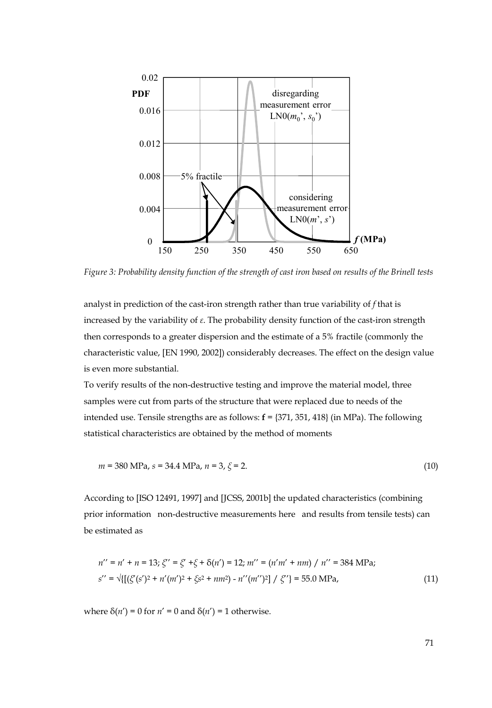

*Figure 3: Probability density function of the strength of cast iron based on results of the Brinell tests* 

analyst in prediction of the cast-iron strength rather than true variability of *f* that is increased by the variability of *ε*. The probability density function of the cast-iron strength then corresponds to a greater dispersion and the estimate of a 5% fractile (commonly the characteristic value, [EN 1990, 2002]) considerably decreases. The effect on the design value is even more substantial.

To verify results of the non-destructive testing and improve the material model, three samples were cut from parts of the structure that were replaced due to needs of the intended use. Tensile strengths are as follows: **f** = {371, 351, 418} (in MPa). The following statistical characteristics are obtained by the method of moments

$$
m = 380 \text{ MPa}, s = 34.4 \text{ MPa}, n = 3, \xi = 2. \tag{10}
$$

According to [ISO 12491, 1997] and [JCSS, 2001b] the updated characteristics (combining prior information non-destructive measurements here and results from tensile tests) can be estimated as

$$
n'' = n' + n = 13; \zeta'' = \zeta' + \zeta + \delta(n') = 12; \ m'' = (n'm' + nm) / n'' = 384 \text{ MPa};
$$
  
\n
$$
s'' = \sqrt{\left\{ \left[ \zeta'(\zeta')^2 + n'(m')^2 + \zeta \zeta^2 + nm^2 \right] - n''(m'')^2 \right\}} / \zeta'' = 55.0 \text{ MPa}, \tag{11}
$$

where  $\delta(n') = 0$  for  $n' = 0$  and  $\delta(n') = 1$  otherwise.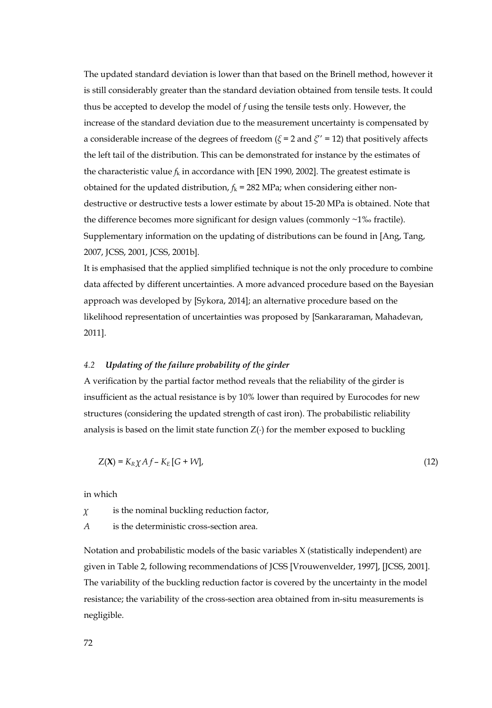The updated standard deviation is lower than that based on the Brinell method, however it is still considerably greater than the standard deviation obtained from tensile tests. It could thus be accepted to develop the model of *f* using the tensile tests only. However, the increase of the standard deviation due to the measurement uncertainty is compensated by a considerable increase of the degrees of freedom (*ξ* = 2 and *ξ*'' = 12) that positively affects the left tail of the distribution. This can be demonstrated for instance by the estimates of the characteristic value  $f_k$  in accordance with [EN 1990, 2002]. The greatest estimate is obtained for the updated distribution,  $f_k = 282$  MPa; when considering either nondestructive or destructive tests a lower estimate by about 15-20 MPa is obtained. Note that the difference becomes more significant for design values (commonly ~1‰ fractile). Supplementary information on the updating of distributions can be found in [Ang, Tang, 2007, JCSS, 2001, JCSS, 2001b].

It is emphasised that the applied simplified technique is not the only procedure to combine data affected by different uncertainties. A more advanced procedure based on the Bayesian approach was developed by [Sykora, 2014]; an alternative procedure based on the likelihood representation of uncertainties was proposed by [Sankararaman, Mahadevan, 2011].

#### *4.2 Updating of the failure probability of the girder*

A verification by the partial factor method reveals that the reliability of the girder is insufficient as the actual resistance is by 10% lower than required by Eurocodes for new structures (considering the updated strength of cast iron). The probabilistic reliability analysis is based on the limit state function  $Z(\cdot)$  for the member exposed to buckling

$$
Z(\mathbf{X}) = K_R \chi A f - K_E [G + W], \qquad (12)
$$

in which

*χ* is the nominal buckling reduction factor,

*A* is the deterministic cross-section area.

Notation and probabilistic models of the basic variables X (statistically independent) are given in Table 2, following recommendations of JCSS [Vrouwenvelder, 1997], [JCSS, 2001]. The variability of the buckling reduction factor is covered by the uncertainty in the model resistance; the variability of the cross-section area obtained from in-situ measurements is negligible.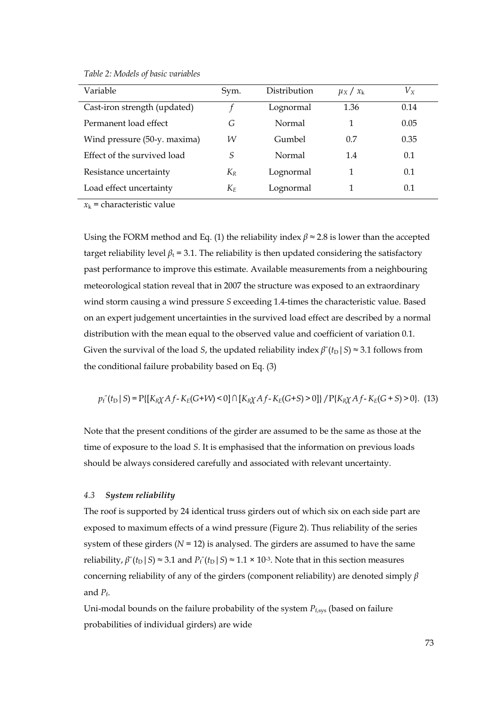| Variable                     | Sym.  | Distribution | $\mu_X / x_k$ | $V_{\rm X}$ |
|------------------------------|-------|--------------|---------------|-------------|
| Cast-iron strength (updated) |       | Lognormal    | 1.36          | 0.14        |
| Permanent load effect        | G     | Normal       |               | 0.05        |
| Wind pressure (50-y. maxima) | W     | Gumbel       | 0.7           | 0.35        |
| Effect of the survived load  | S     | Normal       | 1.4           | 0.1         |
| Resistance uncertainty       | $K_R$ | Lognormal    |               | 0.1         |
| Load effect uncertainty      | $K_E$ | Lognormal    |               | 0.1         |

*Table 2: Models of basic variables* 

 $x_k$  = characteristic value

Using the FORM method and Eq. (1) the reliability index  $\beta \approx 2.8$  is lower than the accepted target reliability level  $\beta_t$  = 3.1. The reliability is then updated considering the satisfactory past performance to improve this estimate. Available measurements from a neighbouring meteorological station reveal that in 2007 the structure was exposed to an extraordinary wind storm causing a wind pressure *S* exceeding 1.4-times the characteristic value. Based on an expert judgement uncertainties in the survived load effect are described by a normal distribution with the mean equal to the observed value and coefficient of variation 0.1. Given the survival of the load *S*, the updated reliability index  $\beta''(t_D | S) \approx 3.1$  follows from the conditional failure probability based on Eq. (3)

$$
p_f''(t_D | S) = P\{[K_{R\hat{\chi}} Af - K_E(G+W) < 0] \cap [K_{R\hat{\chi}} Af - K_E(G+S) > 0]\} / P\{K_{R\hat{\chi}} Af - K_E(G+S) > 0\}. \tag{13}
$$

Note that the present conditions of the girder are assumed to be the same as those at the time of exposure to the load *S*. It is emphasised that the information on previous loads should be always considered carefully and associated with relevant uncertainty.

#### *4.3 System reliability*

The roof is supported by 24 identical truss girders out of which six on each side part are exposed to maximum effects of a wind pressure (Figure 2). Thus reliability of the series system of these girders  $(N = 12)$  is analysed. The girders are assumed to have the same reliability,  $\beta''(t_D | S) \approx 3.1$  and  $P_f''(t_D | S) \approx 1.1 \times 10^{-3}$ . Note that in this section measures concerning reliability of any of the girders (component reliability) are denoted simply *β* and  $P_f$ .

Uni-modal bounds on the failure probability of the system  $P_{f,sys}$  (based on failure probabilities of individual girders) are wide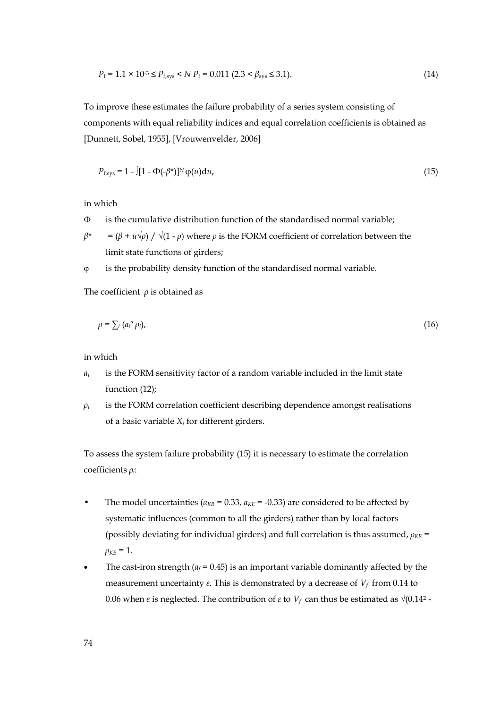$$
P_f = 1.1 \times 10^{-3} \le P_{f,sys} < N \ P_f = 0.011 \ (2.3 < \beta_{sys} \le 3.1). \tag{14}
$$

To improve these estimates the failure probability of a series system consisting of components with equal reliability indices and equal correlation coefficients is obtained as [Dunnett, Sobel, 1955], [Vrouwenvelder, 2006]

$$
P_{f,sys} = 1 - \left[ \left[ 1 - \Phi(-\beta^*) \right]^{N} \varphi(u) du, \right. \tag{15}
$$

in which

- $\Phi$  is the cumulative distribution function of the standardised normal variable;
- $\beta^* = (\beta + u \sqrt{\rho}) / \sqrt{(1 \rho)}$  where  $\rho$  is the FORM coefficient of correlation between the limit state functions of girders;
- φ is the probability density function of the standardised normal variable.

The coefficient *ρ* is obtained as

$$
\rho = \sum_{i} (a_i^2 \rho_i), \tag{16}
$$

in which

- *αi* is the FORM sensitivity factor of a random variable included in the limit state function (12);
- $\rho_i$  is the FORM correlation coefficient describing dependence amongst realisations of a basic variable *Xi* for different girders.

To assess the system failure probability (15) it is necessary to estimate the correlation coefficients *ρi*:

- The model uncertainties ( $a_{KR} = 0.33$ ,  $a_{KE} = -0.33$ ) are considered to be affected by systematic influences (common to all the girders) rather than by local factors (possibly deviating for individual girders) and full correlation is thus assumed, *ρKR* =  $ρ<sub>KE</sub> = 1.$
- The cast-iron strength ( $a_f$  = 0.45) is an important variable dominantly affected by the measurement uncertainty *ε*. This is demonstrated by a decrease of *Vf* from 0.14 to 0.06 when *ε* is neglected. The contribution of *ε* to  $V_f$  can thus be estimated as  $\sqrt{(0.14^2 - 1.000)}$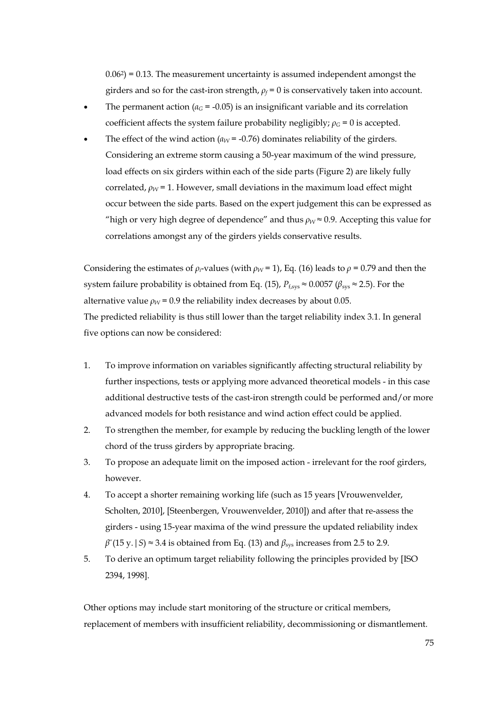$0.06<sup>2</sup>$ ) = 0.13. The measurement uncertainty is assumed independent amongst the girders and so for the cast-iron strength,  $\rho_f = 0$  is conservatively taken into account.

- The permanent action ( $a_G$  = -0.05) is an insignificant variable and its correlation coefficient affects the system failure probability negligibly;  $\rho_G = 0$  is accepted.
- The effect of the wind action  $(a_W = -0.76)$  dominates reliability of the girders. Considering an extreme storm causing a 50-year maximum of the wind pressure, load effects on six girders within each of the side parts (Figure 2) are likely fully correlated,  $\rho_W$  = 1. However, small deviations in the maximum load effect might occur between the side parts. Based on the expert judgement this can be expressed as "high or very high degree of dependence" and thus  $\rho_W \approx 0.9$ . Accepting this value for correlations amongst any of the girders yields conservative results.

Considering the estimates of  $\rho_i$ -values (with  $\rho_W$  = 1), Eq. (16) leads to  $\rho$  = 0.79 and then the system failure probability is obtained from Eq. (15),  $P_{f,sys} \approx 0.0057$  ( $\beta_{sys} \approx 2.5$ ). For the alternative value  $\rho_W$  = 0.9 the reliability index decreases by about 0.05. The predicted reliability is thus still lower than the target reliability index 3.1. In general five options can now be considered:

- 1. To improve information on variables significantly affecting structural reliability by further inspections, tests or applying more advanced theoretical models - in this case additional destructive tests of the cast-iron strength could be performed and/or more advanced models for both resistance and wind action effect could be applied.
- 2. To strengthen the member, for example by reducing the buckling length of the lower chord of the truss girders by appropriate bracing.
- 3. To propose an adequate limit on the imposed action irrelevant for the roof girders, however.
- 4. To accept a shorter remaining working life (such as 15 years [Vrouwenvelder, Scholten, 2010], [Steenbergen, Vrouwenvelder, 2010]) and after that re-assess the girders - using 15-year maxima of the wind pressure the updated reliability index  $\beta''(15 \text{ y.} | S) \approx 3.4$  is obtained from Eq. (13) and  $\beta_{\text{sys}}$  increases from 2.5 to 2.9.
- 5. To derive an optimum target reliability following the principles provided by [ISO 2394, 1998].

Other options may include start monitoring of the structure or critical members, replacement of members with insufficient reliability, decommissioning or dismantlement.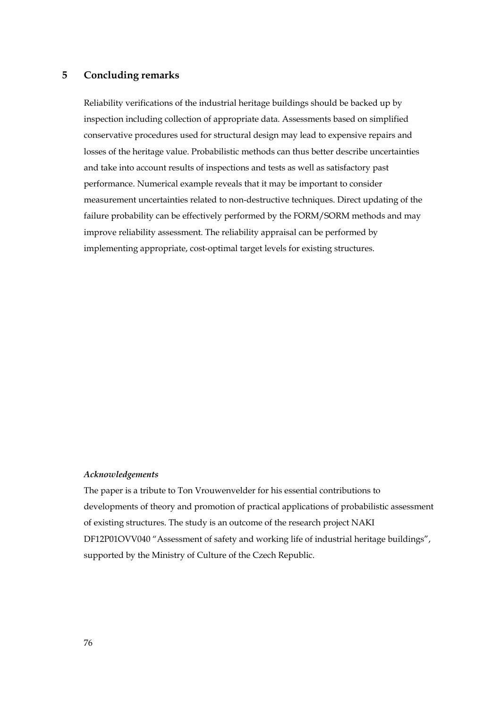# **5 Concluding remarks**

Reliability verifications of the industrial heritage buildings should be backed up by inspection including collection of appropriate data. Assessments based on simplified conservative procedures used for structural design may lead to expensive repairs and losses of the heritage value. Probabilistic methods can thus better describe uncertainties and take into account results of inspections and tests as well as satisfactory past performance. Numerical example reveals that it may be important to consider measurement uncertainties related to non-destructive techniques. Direct updating of the failure probability can be effectively performed by the FORM/SORM methods and may improve reliability assessment. The reliability appraisal can be performed by implementing appropriate, cost-optimal target levels for existing structures.

### *Acknowledgements*

The paper is a tribute to Ton Vrouwenvelder for his essential contributions to developments of theory and promotion of practical applications of probabilistic assessment of existing structures. The study is an outcome of the research project NAKI DF12P01OVV040 "Assessment of safety and working life of industrial heritage buildings", supported by the Ministry of Culture of the Czech Republic.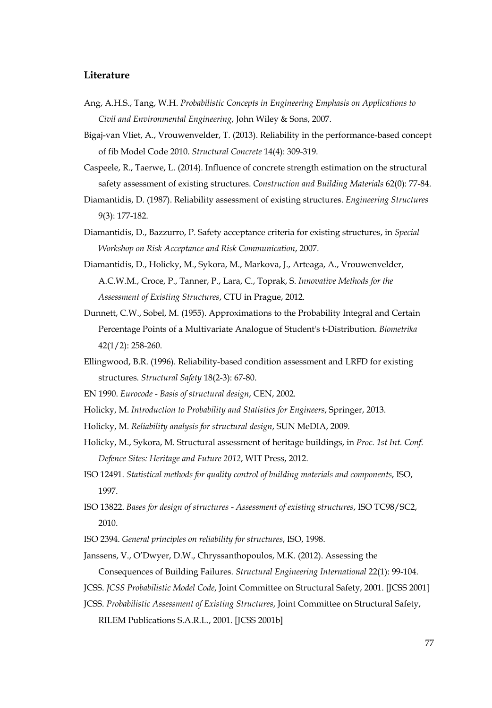## **Literature**

- Ang, A.H.S., Tang, W.H. *Probabilistic Concepts in Engineering Emphasis on Applications to Civil and Environmental Engineering*, John Wiley & Sons, 2007.
- Bigaj-van Vliet, A., Vrouwenvelder, T. (2013). Reliability in the performance-based concept of fib Model Code 2010. *Structural Concrete* 14(4): 309-319.
- Caspeele, R., Taerwe, L. (2014). Influence of concrete strength estimation on the structural safety assessment of existing structures. *Construction and Building Materials* 62(0): 77-84.
- Diamantidis, D. (1987). Reliability assessment of existing structures. *Engineering Structures* 9(3): 177-182.
- Diamantidis, D., Bazzurro, P. Safety acceptance criteria for existing structures, in *Special Workshop on Risk Acceptance and Risk Communication*, 2007.
- Diamantidis, D., Holicky, M., Sykora, M., Markova, J., Arteaga, A., Vrouwenvelder, A.C.W.M., Croce, P., Tanner, P., Lara, C., Toprak, S. *Innovative Methods for the Assessment of Existing Structures*, CTU in Prague, 2012.
- Dunnett, C.W., Sobel, M. (1955). Approximations to the Probability Integral and Certain Percentage Points of a Multivariate Analogue of Student's t-Distribution. *Biometrika* 42(1/2): 258-260.
- Ellingwood, B.R. (1996). Reliability-based condition assessment and LRFD for existing structures. *Structural Safety* 18(2-3): 67-80.
- EN 1990. *Eurocode Basis of structural design*, CEN, 2002.
- Holicky, M. *Introduction to Probability and Statistics for Engineers*, Springer, 2013.
- Holicky, M. *Reliability analysis for structural design*, SUN MeDIA, 2009.
- Holicky, M., Sykora, M. Structural assessment of heritage buildings, in *Proc. 1st Int. Conf. Defence Sites: Heritage and Future 2012*, WIT Press, 2012.
- ISO 12491. *Statistical methods for quality control of building materials and components*, ISO, 1997.
- ISO 13822. *Bases for design of structures Assessment of existing structures*, ISO TC98/SC2, 2010.
- ISO 2394. *General principles on reliability for structures*, ISO, 1998.
- Janssens, V., O'Dwyer, D.W., Chryssanthopoulos, M.K. (2012). Assessing the

Consequences of Building Failures. *Structural Engineering International* 22(1): 99-104.

- JCSS. *JCSS Probabilistic Model Code*, Joint Committee on Structural Safety, 2001. [JCSS 2001]
- JCSS. *Probabilistic Assessment of Existing Structures*, Joint Committee on Structural Safety,

RILEM Publications S.A.R.L., 2001. [JCSS 2001b]